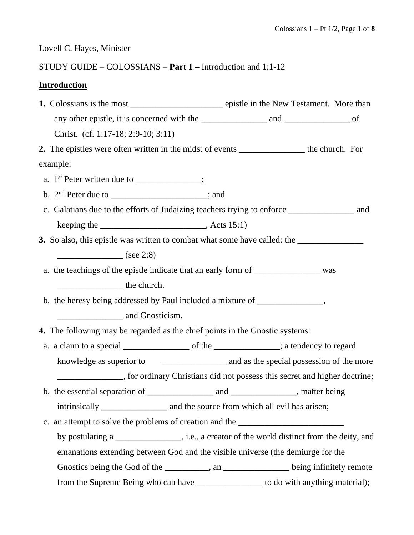Lovell C. Hayes, Minister

# STUDY GUIDE – COLOSSIANS – **Part 1 –** Introduction and 1:1-12

## **Introduction**

|                                                                                 | Christ. (cf. 1:17-18; 2:9-10; 3:11)                                                                                                                                                                                                                                                                                                                                                                                             |  |  |  |  |  |  |
|---------------------------------------------------------------------------------|---------------------------------------------------------------------------------------------------------------------------------------------------------------------------------------------------------------------------------------------------------------------------------------------------------------------------------------------------------------------------------------------------------------------------------|--|--|--|--|--|--|
|                                                                                 | 2. The epistles were often written in the midst of events ___________________ the church. For                                                                                                                                                                                                                                                                                                                                   |  |  |  |  |  |  |
|                                                                                 | example:                                                                                                                                                                                                                                                                                                                                                                                                                        |  |  |  |  |  |  |
|                                                                                 | a. $1^{st}$ Peter written due to ___________;                                                                                                                                                                                                                                                                                                                                                                                   |  |  |  |  |  |  |
|                                                                                 | b. $2nd$ Peter due to ____________________; and                                                                                                                                                                                                                                                                                                                                                                                 |  |  |  |  |  |  |
|                                                                                 |                                                                                                                                                                                                                                                                                                                                                                                                                                 |  |  |  |  |  |  |
|                                                                                 | keeping the $\_\_\_\_\_\_\_\_\_\_\_$ , Acts 15:1)                                                                                                                                                                                                                                                                                                                                                                               |  |  |  |  |  |  |
|                                                                                 |                                                                                                                                                                                                                                                                                                                                                                                                                                 |  |  |  |  |  |  |
|                                                                                 | $\frac{\ }{\ }$ (see 2:8)                                                                                                                                                                                                                                                                                                                                                                                                       |  |  |  |  |  |  |
|                                                                                 | a. the teachings of the epistle indicate that an early form of _________________ was                                                                                                                                                                                                                                                                                                                                            |  |  |  |  |  |  |
|                                                                                 | $\frac{1}{\sqrt{1-\frac{1}{2}}}\frac{1}{\sqrt{1-\frac{1}{2}}}\frac{1}{\sqrt{1-\frac{1}{2}}}\frac{1}{\sqrt{1-\frac{1}{2}}}\frac{1}{\sqrt{1-\frac{1}{2}}}\frac{1}{\sqrt{1-\frac{1}{2}}}\frac{1}{\sqrt{1-\frac{1}{2}}}\frac{1}{\sqrt{1-\frac{1}{2}}}\frac{1}{\sqrt{1-\frac{1}{2}}}\frac{1}{\sqrt{1-\frac{1}{2}}}\frac{1}{\sqrt{1-\frac{1}{2}}}\frac{1}{\sqrt{1-\frac{1}{2}}}\frac{1}{\sqrt{1-\frac{1}{2}}}\frac{1}{\sqrt{1-\frac{$ |  |  |  |  |  |  |
| b. the heresy being addressed by Paul included a mixture of __________________, |                                                                                                                                                                                                                                                                                                                                                                                                                                 |  |  |  |  |  |  |
|                                                                                 | and Gnosticism.                                                                                                                                                                                                                                                                                                                                                                                                                 |  |  |  |  |  |  |
|                                                                                 | 4. The following may be regarded as the chief points in the Gnostic systems:                                                                                                                                                                                                                                                                                                                                                    |  |  |  |  |  |  |
|                                                                                 |                                                                                                                                                                                                                                                                                                                                                                                                                                 |  |  |  |  |  |  |
|                                                                                 |                                                                                                                                                                                                                                                                                                                                                                                                                                 |  |  |  |  |  |  |
|                                                                                 | _______________, for ordinary Christians did not possess this secret and higher doctrine;                                                                                                                                                                                                                                                                                                                                       |  |  |  |  |  |  |
|                                                                                 |                                                                                                                                                                                                                                                                                                                                                                                                                                 |  |  |  |  |  |  |
|                                                                                 |                                                                                                                                                                                                                                                                                                                                                                                                                                 |  |  |  |  |  |  |
|                                                                                 | c. an attempt to solve the problems of creation and the ________________________                                                                                                                                                                                                                                                                                                                                                |  |  |  |  |  |  |
|                                                                                 | by postulating a _________________, i.e., a creator of the world distinct from the deity, and                                                                                                                                                                                                                                                                                                                                   |  |  |  |  |  |  |
|                                                                                 | emanations extending between God and the visible universe (the demiurge for the                                                                                                                                                                                                                                                                                                                                                 |  |  |  |  |  |  |
|                                                                                 | Gnostics being the God of the _________, an __________ being infinitely remote                                                                                                                                                                                                                                                                                                                                                  |  |  |  |  |  |  |
|                                                                                 | from the Supreme Being who can have ________________ to do with anything material);                                                                                                                                                                                                                                                                                                                                             |  |  |  |  |  |  |
|                                                                                 |                                                                                                                                                                                                                                                                                                                                                                                                                                 |  |  |  |  |  |  |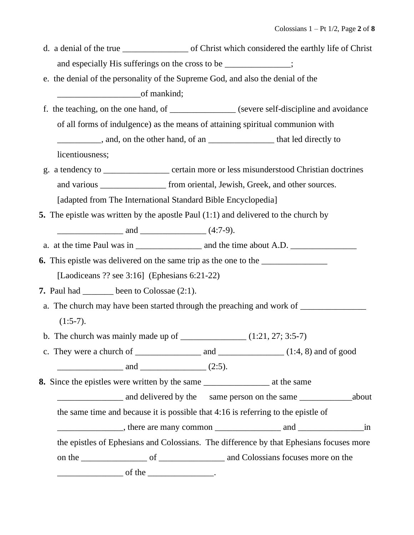- d. a denial of the true of Christ which considered the earthly life of Christ and especially His sufferings on the cross to be  $\cdot$
- e. the denial of the personality of the Supreme God, and also the denial of the  $\frac{1}{\sqrt{1-\frac{1}{\sqrt{1-\frac{1}{\sqrt{1-\frac{1}{\sqrt{1-\frac{1}{\sqrt{1-\frac{1}{\sqrt{1-\frac{1}{\sqrt{1-\frac{1}{\sqrt{1-\frac{1}{\sqrt{1-\frac{1}{\sqrt{1-\frac{1}{\sqrt{1-\frac{1}{\sqrt{1-\frac{1}{\sqrt{1-\frac{1}{\sqrt{1-\frac{1}{\sqrt{1-\frac{1}{\sqrt{1-\frac{1}{\sqrt{1-\frac{1}{\sqrt{1-\frac{1}{\sqrt{1-\frac{1}{\sqrt{1-\frac{1}{\sqrt{1-\frac{1}{\sqrt{1-\frac{1}{\sqrt{1-\frac{1}{\sqrt{1-\frac{1$
- f. the teaching, on the one hand, of \_\_\_\_\_\_\_\_\_\_\_\_\_\_\_ (severe self-discipline and avoidance of all forms of indulgence) as the means of attaining spiritual communion with \_\_\_\_\_\_\_\_\_\_, and, on the other hand, of an \_\_\_\_\_\_\_\_\_\_\_\_\_\_\_ that led directly to licentiousness;
- g. a tendency to \_\_\_\_\_\_\_\_\_\_\_\_\_\_\_ certain more or less misunderstood Christian doctrines and various from oriental, Jewish, Greek, and other sources. [adapted from The International Standard Bible Encyclopedia]
- **5.** The epistle was written by the apostle Paul (1:1) and delivered to the church by  $\frac{1}{2}$  and  $\frac{1}{2}$  and  $\frac{1}{2}$  (4:7-9).
- a. at the time Paul was in  $\frac{1}{\sqrt{1-\frac{1}{n}}}\$  and the time about A.D.
- **6.** This epistle was delivered on the same trip as the one to the [Laodiceans ?? see 3:16] (Ephesians 6:21-22)
- **7.** Paul had \_\_\_\_\_\_\_ been to Colossae (2:1).
	- a. The church may have been started through the preaching and work of \_\_\_\_\_\_\_\_\_\_\_  $(1:5-7)$ .
- b. The church was mainly made up of  $\qquad$  (1:21, 27; 3:5-7)
- c. They were a church of  $\_\_\_\_\_\_$  and  $\_\_\_\_\_\_\_$  (1:4, 8) and of good  $and$   $(2:5).$
- **8.** Since the epistles were written by the same \_\_\_\_\_\_\_\_\_\_\_\_\_\_\_ at the same
	- and delivered by the same person on the same  $\alpha$  about

the same time and because it is possible that 4:16 is referring to the epistle of

example the state of the state are many common and and  $\frac{1}{2}$  in

the epistles of Ephesians and Colossians. The difference by that Ephesians focuses more

on the \_\_\_\_\_\_\_\_\_\_\_\_\_\_\_\_ of \_\_\_\_\_\_\_\_\_\_\_\_\_\_\_\_\_ and Colossians focuses more on the

 $\Box$  of the  $\Box$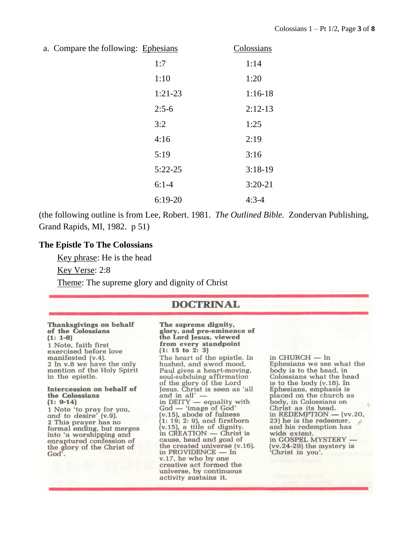a. Compare the following: Ephesians Colossians

| -p110010110 | $\sim$    |
|-------------|-----------|
| 1:7         | 1:14      |
| 1:10        | 1:20      |
| $1:21-23$   | $1:16-18$ |
| $2:5-6$     | $2:12-13$ |
| 3:2         | 1:25      |
| 4:16        | 2:19      |
| 5:19        | 3:16      |
| $5:22 - 25$ | $3:18-19$ |
| $6:1-4$     | $3:20-21$ |
| $6:19-20$   | $4:3-4$   |

(the following outline is from Lee, Robert. 1981. *The Outlined Bible.* Zondervan Publishing, Grand Rapids, MI, 1982. p 51)

### **The Epistle To The Colossians**

Key phrase: He is the head

Key Verse: 2:8

Theme: The supreme glory and dignity of Christ

### **DOCTRINAL**

#### **Thanksgivings on behalf** of the Colossians  $(1: 1-8)$ 1 Note, faith first exercised before love

manifested (v.4). 2 In v.8 we have the only mention of the Holy Spirit in the epistle.

#### Intercession on behalf of the Colossians  $(1: 9-14)$

1 Note 'to pray for you,<br>and to desire' (v.9). 2 This prayer has no formal ending, but merges into 'a worshipping and enraptured confession of the glory of the Christ of God'.

The supreme dignity. glory, and pre-eminence of the Lord Jesus, viewed from every standpoint  $(1: 15 \text{ to } 2: 3)$ The heart of the epistle. In hushed, and awed mood, Paul gives a heart-moving, soul-subduing affirmation of the glory of the Lord<br>Jesus. Christ is seen as 'all and in all' in DEITY — equality with  $God - 'image of God'   
(v.15), abode of fulness$  $(1: 19: 2: 9)$ , and firstborn  $(v.15)$ , a title of dignity. in CREATION - Christ is cause, head and goal of the created universe (v.16). in PROVIDENCE — In v.17, he who by one creative act formed the universe, by continuous activity sustains it.

in  $\textsc{CHURCH}$  —  $\textsc{In}$ Ephesians we see what the body is to the head, in Colossians what the head is to the body  $(v.18)$ . In Ephesians, emphasis is<br>placed on the church as body, in Colossians on Christ as its head. in REDEMPTION  $-$  (vv.20, 23) he is the redeemer, and his redemption has wide extent. in GOSPEL MYSTERY - $(vv.24-29)$  the mystery is Christ in you'.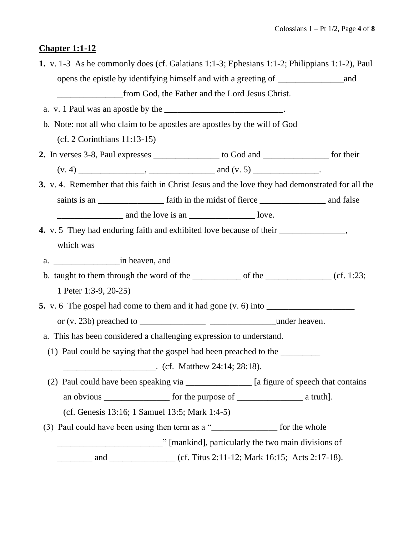# **Chapter 1:1-12**

| 1. v. 1-3 As he commonly does (cf. Galatians 1:1-3; Ephesians 1:1-2; Philippians 1:1-2), Paul                                   |                                                                      |  |
|---------------------------------------------------------------------------------------------------------------------------------|----------------------------------------------------------------------|--|
|                                                                                                                                 |                                                                      |  |
|                                                                                                                                 |                                                                      |  |
| a. v. 1 Paul was an apostle by the ________________________________.                                                            |                                                                      |  |
| b. Note: not all who claim to be apostles are apostles by the will of God                                                       |                                                                      |  |
| $(cf. 2 Corinthians 11:13-15)$                                                                                                  |                                                                      |  |
| 2. In verses 3-8, Paul expresses _______________ to God and ____________ for their                                              |                                                                      |  |
|                                                                                                                                 |                                                                      |  |
| 3. v. 4. Remember that this faith in Christ Jesus and the love they had demonstrated for all the                                |                                                                      |  |
|                                                                                                                                 |                                                                      |  |
|                                                                                                                                 |                                                                      |  |
| 4. v. 5 They had enduring faith and exhibited love because of their _____________,                                              |                                                                      |  |
| which was                                                                                                                       |                                                                      |  |
|                                                                                                                                 |                                                                      |  |
| b. taught to them through the word of the $\frac{1}{\sqrt{1-\frac{1}{n}}}\$ of the $\frac{1}{\sqrt{1-\frac{1}{n}}}\$ (cf. 1:23; |                                                                      |  |
| 1 Peter 1:3-9, 20-25)                                                                                                           |                                                                      |  |
|                                                                                                                                 |                                                                      |  |
|                                                                                                                                 |                                                                      |  |
| a. This has been considered a challenging expression to understand.                                                             |                                                                      |  |
| (1) Paul could be saying that the gospel had been preached to the _________                                                     |                                                                      |  |
| $\frac{1}{28:18}$ . (cf. Matthew 24:14; 28:18).                                                                                 |                                                                      |  |
| (2) Paul could have been speaking via ________________ [a figure of speech that contains                                        |                                                                      |  |
|                                                                                                                                 |                                                                      |  |
| (cf. Genesis 13:16; 1 Samuel 13:5; Mark 1:4-5)                                                                                  |                                                                      |  |
| (3) Paul could have been using then term as a "____________________ for the whole                                               |                                                                      |  |
|                                                                                                                                 |                                                                      |  |
|                                                                                                                                 | and _________________ (cf. Titus 2:11-12; Mark 16:15; Acts 2:17-18). |  |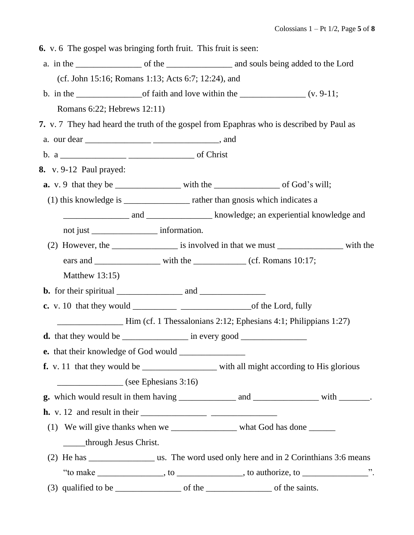**6.** v. 6 The gospel was bringing forth fruit. This fruit is seen:

- a. in the contract of the contract of the contract and souls being added to the Lord (cf. John 15:16; Romans 1:13; Acts 6:7; 12:24), and
- b. in the  $\frac{1}{(v. 9-11)}$  of faith and love within the  $\frac{1}{(v. 9-11)}$ Romans 6:22; Hebrews 12:11)
- **7.** v. 7 They had heard the truth of the gospel from Epaphras who is described by Paul as
- a. our dear \_\_\_\_\_\_\_\_\_\_\_\_\_\_\_ \_\_\_\_\_\_\_\_\_\_\_\_\_\_\_, and
- b. a \_\_\_\_\_\_\_\_\_\_\_\_\_\_\_ \_\_\_\_\_\_\_\_\_\_\_\_\_\_\_ of Christ
- **8.** v. 9-12 Paul prayed:
- **a.** v. 9 that they be with the of God's will;
- (1) this knowledge is \_\_\_\_\_\_\_\_\_\_\_\_\_\_\_ rather than gnosis which indicates a

\_\_\_\_\_\_\_\_\_\_\_\_\_\_\_ and \_\_\_\_\_\_\_\_\_\_\_\_\_\_\_ knowledge; an experiential knowledge and not just \_\_\_\_\_\_\_\_\_\_\_\_\_\_\_ information.

- (2) However, the \_\_\_\_\_\_\_\_\_\_\_\_\_\_\_\_\_\_\_ is involved in that we must \_\_\_\_\_\_\_\_\_\_\_\_\_\_\_\_\_\_\_ with the ears and \_\_\_\_\_\_\_\_\_\_\_\_\_\_\_\_\_\_\_\_\_ with the \_\_\_\_\_\_\_\_\_\_\_\_\_ (cf. Romans 10:17; Matthew 13:15)
- **b.** for their spiritual \_\_\_\_\_\_\_\_\_\_\_\_\_\_\_ and \_\_\_\_\_\_\_\_\_\_\_\_\_\_\_
- **c.** v. 10 that they would of the Lord, fully

\_\_\_\_\_\_\_\_\_\_\_\_\_\_\_ Him (cf. 1 Thessalonians 2:12; Ephesians 4:1; Philippians 1:27)

**d.** that they would be  $\qquad \qquad$  in every good

**e.** that their knowledge of God would \_\_\_\_\_\_\_\_\_\_\_\_\_\_\_

- **f.** v. 11 that they would be with all might according to His glorious  $(see Ephesians 3:16)$
- **g.** which would result in them having \_\_\_\_\_\_\_\_\_\_\_\_\_ and \_\_\_\_\_\_\_\_\_\_\_\_\_\_\_ with \_\_\_\_\_\_\_.

 **h.** v. 12 and result in their \_\_\_\_\_\_\_\_\_\_\_\_\_\_\_ \_\_\_\_\_\_\_\_\_\_\_\_\_\_\_

- (1) We will give thanks when we write what God has done \_\_\_\_\_through Jesus Christ.
- (2) He has \_\_\_\_\_\_\_\_\_\_\_\_\_\_\_ us. The word used only here and in 2 Corinthians 3:6 means "to make \_\_\_\_\_\_\_\_\_\_\_\_\_\_, to \_\_\_\_\_\_\_\_\_\_\_\_, to authorize, to \_\_\_\_\_\_\_\_\_\_\_\_\_\_\_\_\_\_".
- (3) qualified to be  $\qquad \qquad$  of the saints.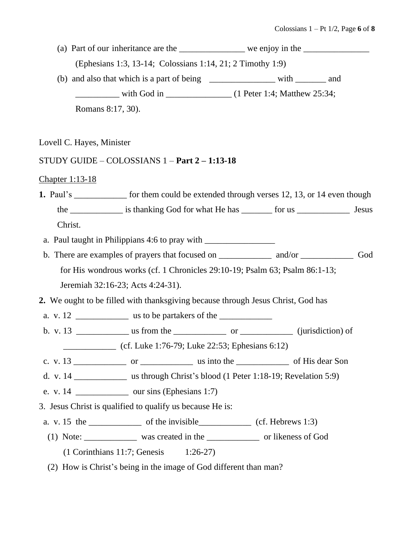|                           | (a) Part of our inheritance are the _______________ we enjoy in the _____________        |     |
|---------------------------|------------------------------------------------------------------------------------------|-----|
|                           | (Ephesians 1:3, 13-14; Colossians 1:14, 21; 2 Timothy 1:9)                               |     |
|                           | (b) and also that which is a part of being ____________________ with __________ and      |     |
|                           |                                                                                          |     |
| Romans 8:17, 30).         |                                                                                          |     |
| Lovell C. Hayes, Minister |                                                                                          |     |
|                           | STUDY GUIDE – COLOSSIANS $1$ – Part $2$ – 1:13-18                                        |     |
| Chapter 1:13-18           |                                                                                          |     |
|                           | 1. Paul's __________ for them could be extended through verses 12, 13, or 14 even though |     |
|                           |                                                                                          |     |
| Christ.                   |                                                                                          |     |
|                           |                                                                                          |     |
|                           |                                                                                          | God |
|                           | for His wondrous works (cf. 1 Chronicles 29:10-19; Psalm 63; Psalm 86:1-13;              |     |
|                           | Jeremiah 32:16-23; Acts 4:24-31).                                                        |     |
|                           | 2. We ought to be filled with thanksgiving because through Jesus Christ, God has         |     |
|                           |                                                                                          |     |
|                           |                                                                                          |     |
|                           | (cf. Luke 1:76-79; Luke 22:53; Ephesians 6:12)                                           |     |
|                           |                                                                                          |     |
|                           |                                                                                          |     |
|                           | e. v. 14 _____________ our sins (Ephesians 1:7)                                          |     |
|                           | 3. Jesus Christ is qualified to qualify us because He is:                                |     |
|                           | a. v. 15 the $\frac{\ }{\ }$ of the invisible $\frac{\ }{\ }$ (cf. Hebrews 1:3)          |     |
|                           |                                                                                          |     |
|                           | $(1$ Corinthians 11:7; Genesis 1:26-27)                                                  |     |
|                           | (2) How is Christ's being in the image of God different than man?                        |     |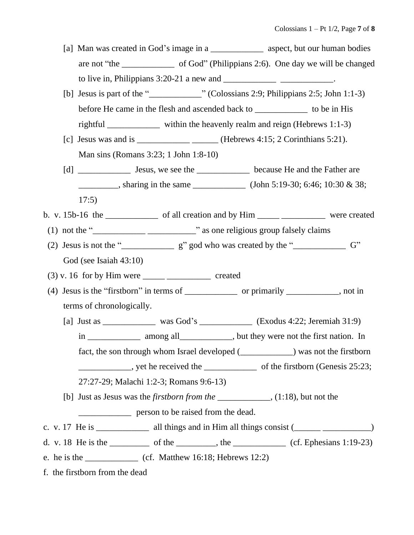- [a] Man was created in God's image in a \_\_\_\_\_\_\_\_\_\_\_\_ aspect, but our human bodies are not "the of God" (Philippians 2:6). One day we will be changed to live in, Philippians  $3:20-21$  a new and  $\qquad \qquad$
- [b] Jesus is part of the "\_\_\_\_\_\_\_\_\_\_\_\_" (Colossians 2:9; Philippians 2:5; John 1:1-3) before He came in the flesh and ascended back to \_\_\_\_\_\_\_\_\_\_\_\_\_\_\_ to be in His rightful \_\_\_\_\_\_\_\_\_\_\_\_ within the heavenly realm and reign (Hebrews 1:1-3)
- [c] Jesus was and is  $\frac{\qquad \qquad }{2}$  (Hebrews 4:15; 2 Corinthians 5:21). Man sins (Romans 3:23; 1 John 1:8-10)
- [d] Lesus, we see the Lesson because He and the Father are \_\_\_\_\_\_\_\_\_, sharing in the same \_\_\_\_\_\_\_\_\_\_\_\_\_\_\_(John 5:19-30; 6:46; 10:30 & 38; 17:5)
- b. v. 15b-16 the \_\_\_\_\_\_\_\_\_\_\_\_\_\_ of all creation and by  $\lim$  \_\_\_\_\_\_\_\_\_\_\_\_\_\_\_\_\_\_\_\_\_ were created
	- (1) not the " $\frac{1}{\sqrt{2\pi}}$  =  $\frac{1}{\sqrt{2\pi}}$  as one religious group falsely claims
	- (2) Jesus is not the " $\frac{1}{2}$  g" god who was created by the " $\frac{1}{2}$  G" God (see Isaiah 43:10)
	- $(3)$  v. 16 for by Him were \_\_\_\_\_\_\_\_\_\_\_\_\_\_\_\_\_\_\_\_\_\_\_\_\_ created
	- (4) Jesus is the "firstborn" in terms of \_\_\_\_\_\_\_\_\_\_\_\_ or primarily \_\_\_\_\_\_\_\_\_\_\_\_, not in terms of chronologically.
		- [a] Just as \_\_\_\_\_\_\_\_\_\_\_\_\_ was God's \_\_\_\_\_\_\_\_\_\_\_\_ (Exodus 4:22; Jeremiah 31:9) in \_\_\_\_\_\_\_\_\_\_\_\_\_\_ among all\_\_\_\_\_\_\_\_\_\_\_, but they were not the first nation. In fact, the son through whom Israel developed (\_\_\_\_\_\_\_\_\_\_\_\_) was not the firstborn external extending the vector of the firstborn (Genesis 25:23;  $\frac{1}{25}$ ;  $\frac{23}{25}$ ; 27:27-29; Malachi 1:2-3; Romans 9:6-13)
		- [b] Just as Jesus was the *firstborn from the* \_\_\_\_\_\_\_\_\_\_\_\_, (1:18), but not the

\_\_\_\_\_\_\_\_\_\_\_\_ person to be raised from the dead.

- c. v. 17 He is \_\_\_\_\_\_\_\_\_\_\_\_\_ all things and in Him all things consist  $($
- d. v. 18 He is the \_\_\_\_\_\_\_\_\_\_ of the \_\_\_\_\_\_\_\_, the \_\_\_\_\_\_\_\_\_\_ (cf. Ephesians 1:19-23)
- e. he is the \_\_\_\_\_\_\_\_\_\_\_\_ (cf. Matthew 16:18; Hebrews 12:2)
- f. the firstborn from the dead